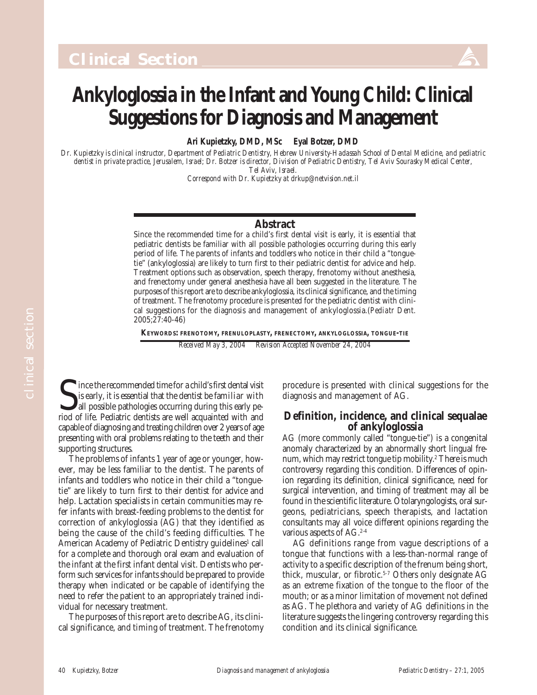## **Ankyloglossia in the Infant and Young Child: Clinical Suggestions for Diagnosis and Management**

**Ari Kupietzky, DMD, MSc Eyal Botzer, DMD**

*Dr. Kupietzky is clinical instructor, Department of Pediatric Dentistry, Hebrew University-Hadassah School of Dental Medicine, and pediatric dentist in private practice, Jerusalem, Israel; Dr. Botzer is director, Division of Pediatric Dentistry, Tel Aviv Sourasky Medical Center, Tel Aviv, Israel.*

*Correspond with Dr. Kupietzky at drkup@netvision.net.il*

### **Abstract**

Since the recommended time for a child's first dental visit is early, it is essential that pediatric dentists be familiar with all possible pathologies occurring during this early period of life. The parents of infants and toddlers who notice in their child a "tonguetie" (ankyloglossia) are likely to turn first to their pediatric dentist for advice and help. Treatment options such as observation, speech therapy, frenotomy without anesthesia, and frenectomy under general anesthesia have all been suggested in the literature. The purposes of this report are to describe ankyloglossia, its clinical significance, and the timing of treatment. The frenotomy procedure is presented for the pediatric dentist with clinical suggestions for the diagnosis and management of ankyloglossia.(*Pediatr Dent.* 2005;27:40-46)

**KEYWORDS: FRENOTOMY, FRENULOPLASTY, FRENECTOMY, ANKYLOGLOSSIA, TONGUE-TIE** *Received May 3, 2004 Revision Accepted November 24, 2004*

Since the recommended time for a child's first dental visity is early, it is essential that the dentist be familiar with all possible pathologies occurring during this early period of life. Pediatric dentists are well acqu Ince the recommended time for a child's first dental visit is early, it is essential that the dentist be familiar with all possible pathologies occurring during this early pecapable of diagnosing and treating children over 2 years of age presenting with oral problems relating to the teeth and their supporting structures.

The problems of infants 1 year of age or younger, however, may be less familiar to the dentist. The parents of infants and toddlers who notice in their child a "tonguetie" are likely to turn first to their dentist for advice and help. Lactation specialists in certain communities may refer infants with breast-feeding problems to the dentist for correction of ankyloglossia (AG) that they identified as being the cause of the child's feeding difficulties. The American Academy of Pediatric Dentistry guidelines<sup>1</sup> call for a complete and thorough oral exam and evaluation of the infant at the first infant dental visit. Dentists who perform such services for infants should be prepared to provide therapy when indicated or be capable of identifying the need to refer the patient to an appropriately trained individual for necessary treatment.

The purposes of this report are to describe AG, its clinical significance, and timing of treatment. The frenotomy procedure is presented with clinical suggestions for the diagnosis and management of AG.

### **Definition, incidence, and clinical sequalae of ankyloglossia**

AG (more commonly called "tongue-tie") is a congenital anomaly characterized by an abnormally short lingual frenum, which may restrict tongue tip mobility.2 There is much controversy regarding this condition. Differences of opinion regarding its definition, clinical significance, need for surgical intervention, and timing of treatment may all be found in the scientific literature. Otolaryngologists, oral surgeons, pediatricians, speech therapists, and lactation consultants may all voice different opinions regarding the various aspects of  $AG.<sup>2-4</sup>$ 

AG definitions range from vague descriptions of a tongue that functions with a less-than-normal range of activity to a specific description of the frenum being short, thick, muscular, or fibrotic.<sup>5-7</sup> Others only designate AG as an extreme fixation of the tongue to the floor of the mouth; or as a minor limitation of movement not defined as AG. The plethora and variety of AG definitions in the literature suggests the lingering controversy regarding this condition and its clinical significance.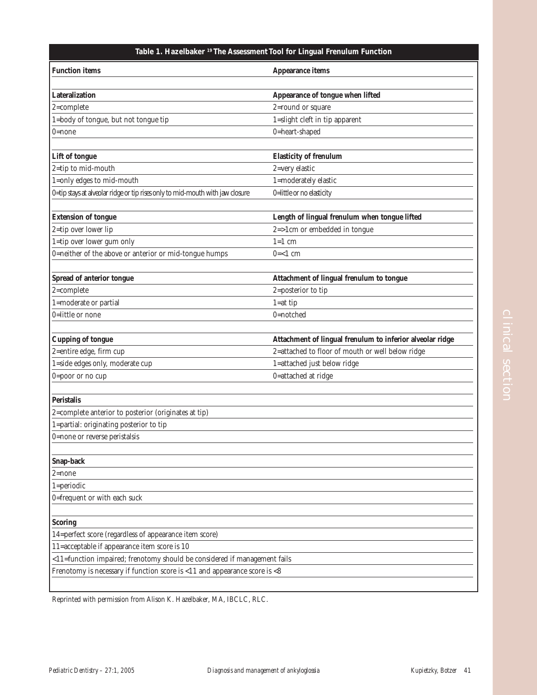### **Table 1. Hazelbaker 19 The Assessment Tool for Lingual Frenulum Function**

| <b>Function items</b>                                                         | Appearance items                                          |
|-------------------------------------------------------------------------------|-----------------------------------------------------------|
|                                                                               |                                                           |
| Lateralization                                                                | Appearance of tongue when lifted                          |
| $2$ =complete                                                                 | 2=round or square                                         |
| 1=body of tongue, but not tongue tip                                          | 1=slight cleft in tip apparent                            |
| $0 = none$                                                                    | 0=heart-shaped                                            |
|                                                                               |                                                           |
| Lift of tongue                                                                | <b>Elasticity of frenulum</b>                             |
| 2=tip to mid-mouth                                                            | 2=very elastic                                            |
| 1=only edges to mid-mouth                                                     | 1=moderately elastic                                      |
| 0=tip stays at alveolar ridge or tip rises only to mid-mouth with jaw closure | 0=little or no elasticity                                 |
|                                                                               |                                                           |
| <b>Extension of tongue</b>                                                    | Length of lingual frenulum when tongue lifted             |
| 2=tip over lower lip                                                          | $2 = > 1$ cm or embedded in tongue                        |
| 1=tip over lower gum only                                                     | $1=1$ cm                                                  |
| 0=neither of the above or anterior or mid-tongue humps                        | $0=1$ cm                                                  |
|                                                                               |                                                           |
| Spread of anterior tongue                                                     | Attachment of lingual frenulum to tongue                  |
| $2$ =complete                                                                 | 2=posterior to tip                                        |
| 1=moderate or partial                                                         | $1 = at tip$                                              |
| 0=little or none                                                              | 0=notched                                                 |
|                                                                               |                                                           |
| <b>Cupping of tongue</b>                                                      | Attachment of lingual frenulum to inferior alveolar ridge |
| 2=entire edge, firm cup                                                       | 2=attached to floor of mouth or well below ridge          |
| 1=side edges only, moderate cup                                               | 1=attached just below ridge                               |
| 0=poor or no cup                                                              | 0=attached at ridge                                       |
|                                                                               |                                                           |
| <b>Peristalis</b>                                                             |                                                           |
| 2=complete anterior to posterior (originates at tip)                          |                                                           |
| 1=partial: originating posterior to tip                                       |                                                           |
| 0=none or reverse peristalsis                                                 |                                                           |
|                                                                               |                                                           |
| Snap-back                                                                     |                                                           |
| $2 = none$                                                                    |                                                           |
| $1 = periodic$                                                                |                                                           |
| 0=frequent or with each suck                                                  |                                                           |
|                                                                               |                                                           |
| <b>Scoring</b>                                                                |                                                           |
| 14=perfect score (regardless of appearance item score)                        |                                                           |
| 11=acceptable if appearance item score is 10                                  |                                                           |
| <11=function impaired; frenotomy should be considered if management fails     |                                                           |
| Frenotomy is necessary if function score is <11 and appearance score is <8    |                                                           |
|                                                                               |                                                           |

Reprinted with permission from Alison K. Hazelbaker, MA, IBCLC, RLC.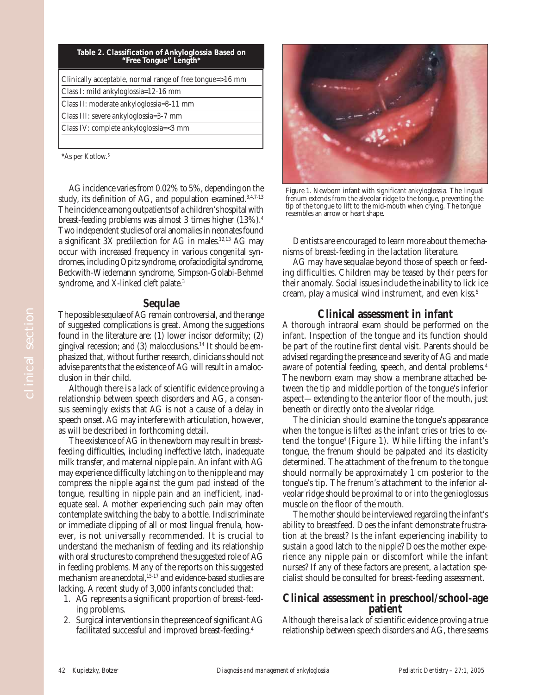| Table 2. Classification of Ankyloglossia Based on<br>"Free Tongue" Length* |  |
|----------------------------------------------------------------------------|--|
| Clinically acceptable, normal range of free tongue=>16 mm                  |  |
| Class I: mild ankyloglossia=12-16 mm                                       |  |
| Class II: moderate ankyloglossia=8-11 mm                                   |  |
| Class III: severe ankyloglossia=3-7 mm                                     |  |
| Class IV: complete ankyloglossia=<3 mm                                     |  |
|                                                                            |  |

\*As per Kotlow.5

AG incidence varies from 0.02% to 5%, depending on the study, its definition of AG, and population examined.<sup>3,4,7-13</sup> The incidence among outpatients of a children's hospital with breast-feeding problems was almost 3 times higher (13%).4 Two independent studies of oral anomalies in neonates found a significant 3X predilection for AG in males.12,13 AG may occur with increased frequency in various congenital syndromes, including Opitz syndrome, orofaciodigital syndrome, Beckwith-Wiedemann syndrome, Simpson-Golabi-Behmel syndrome, and X-linked cleft palate.<sup>3</sup>

### **Sequlae**

The possible sequlae of AG remain controversial, and the range of suggested complications is great. Among the suggestions found in the literature are: (1) lower incisor deformity; (2) gingival recession; and (3) malocclusions.14 It should be emphasized that, without further research, clinicians should not advise parents that the existence of AG will result in a malocclusion in their child.

Although there is a lack of scientific evidence proving a relationship between speech disorders and AG, a consensus seemingly exists that AG is not a cause of a delay in speech onset. AG may interfere with articulation, however, as will be described in forthcoming detail.

The existence of AG in the newborn may result in breastfeeding difficulties, including ineffective latch, inadequate milk transfer, and maternal nipple pain. An infant with AG may experience difficulty latching on to the nipple and may compress the nipple against the gum pad instead of the tongue, resulting in nipple pain and an inefficient, inadequate seal. A mother experiencing such pain may often contemplate switching the baby to a bottle. Indiscriminate or immediate clipping of all or most lingual frenula, however, is not universally recommended. It is crucial to understand the mechanism of feeding and its relationship with oral structures to comprehend the suggested role of AG in feeding problems. Many of the reports on this suggested mechanism are anecdotal, 15-17 and evidence-based studies are lacking. A recent study of 3,000 infants concluded that:

- 1. AG represents a significant proportion of breast-feeding problems.
- 2. Surgical interventions in the presence of significant AG facilitated successful and improved breast-feeding.4



Figure 1. Newborn infant with significant ankyloglossia. The lingual frenum extends from the alveolar ridge to the tongue, preventing the tip of the tongue to lift to the mid-mouth when crying. The tongue resembles an arrow or heart shape.

Dentists are encouraged to learn more about the mechanisms of breast-feeding in the lactation literature.

AG may have sequalae beyond those of speech or feeding difficulties. Children may be teased by their peers for their anomaly. Social issues include the inability to lick ice cream, play a musical wind instrument, and even kiss.<sup>5</sup>

### **Clinical assessment in infant**

A thorough intraoral exam should be performed on the infant. Inspection of the tongue and its function should be part of the routine first dental visit. Parents should be advised regarding the presence and severity of AG and made aware of potential feeding, speech, and dental problems.4 The newborn exam may show a membrane attached between the tip and middle portion of the tongue's inferior aspect—extending to the anterior floor of the mouth, just beneath or directly onto the alveolar ridge.

The clinician should examine the tongue's appearance when the tongue is lifted as the infant cries or tries to extend the tongue4 (Figure 1). While lifting the infant's tongue, the frenum should be palpated and its elasticity determined. The attachment of the frenum to the tongue should normally be approximately 1 cm posterior to the tongue's tip. The frenum's attachment to the inferior alveolar ridge should be proximal to or into the genioglossus muscle on the floor of the mouth.

The mother should be interviewed regarding the infant's ability to breastfeed. Does the infant demonstrate frustration at the breast? Is the infant experiencing inability to sustain a good latch to the nipple? Does the mother experience any nipple pain or discomfort while the infant nurses? If any of these factors are present, a lactation specialist should be consulted for breast-feeding assessment.

# **Clinical assessment in preschool/school-age patient**

Although there is a lack of scientific evidence proving a true relationship between speech disorders and AG, there seems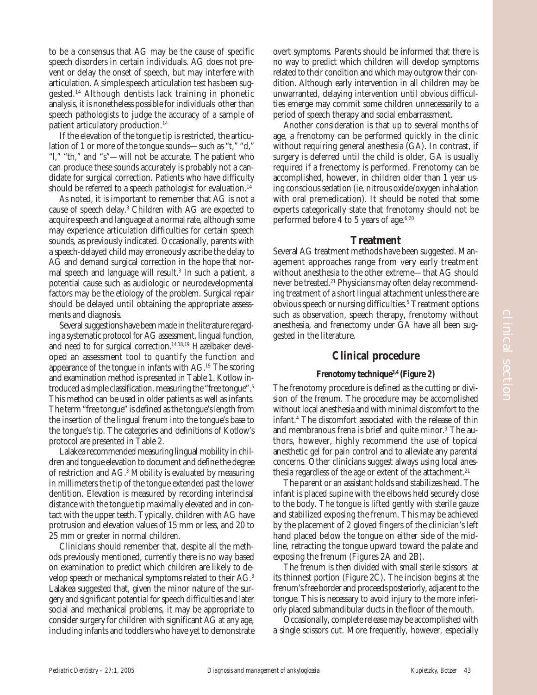to be a consensus that AG may be the cause of specific speech disorders in certain individuals. AG does not prevent or delay the onset of speech, but may interfere with articulation. A simple speech articulation test has been suggested.14 Although dentists lack training in phonetic analysis, it is nonetheless possible for individuals other than speech pathologists to judge the accuracy of a sample of patient articulatory production.14

If the elevation of the tongue tip is restricted, the articulation of 1 or more of the tongue sounds—such as "t," "d," "l," "th," and "s"—will not be accurate. The patient who can produce these sounds accurately is probably not a candidate for surgical correction. Patients who have difficulty should be referred to a speech pathologist for evaluation.<sup>14</sup>

As noted, it is important to remember that AG is not a cause of speech delay.3 Children with AG are expected to acquire speech and language at a normal rate, although some may experience articulation difficulties for certain speech sounds, as previously indicated. Occasionally, parents with a speech-delayed child may erroneously ascribe the delay to AG and demand surgical correction in the hope that normal speech and language will result.3 In such a patient, a potential cause such as audiologic or neurodevelopmental factors may be the etiology of the problem. Surgical repair should be delayed until obtaining the appropriate assessments and diagnosis.

Several suggestions have been made in the literature regarding a systematic protocol for AG assessment, lingual function, and need to for surgical correction.<sup>14,18,19</sup> Hazelbaker developed an assessment tool to quantify the function and appearance of the tongue in infants with AG.19 The scoring and examination method is presented in Table 1. Kotlow introduced a simple classification, measuring the "free tongue".5 This method can be used in older patients as well as infants. The term "free tongue" is defined as the tongue's length from the insertion of the lingual frenum into the tongue's base to the tongue's tip. The categories and definitions of Kotlow's protocol are presented in Table 2.

Lalakea recommended measuring lingual mobility in children and tongue elevation to document and define the degree of restriction and AG.3 Mobility is evaluated by measuring in millimeters the tip of the tongue extended past the lower dentition. Elevation is measured by recording interincisal distance with the tongue tip maximally elevated and in contact with the upper teeth. Typically, children with AG have protrusion and elevation values of 15 mm or less, and 20 to 25 mm or greater in normal children.

Clinicians should remember that, despite all the methods previously mentioned, currently there is no way based on examination to predict which children are likely to develop speech or mechanical symptoms related to their AG.3 Lalakea suggested that, given the minor nature of the surgery and significant potential for speech difficulties and later social and mechanical problems, it may be appropriate to consider surgery for children with significant AG at any age, including infants and toddlers who have yet to demonstrate

overt symptoms. Parents should be informed that there is no way to predict which children will develop symptoms related to their condition and which may outgrow their condition. Although early intervention in all children may be unwarranted, delaying intervention until obvious difficulties emerge may commit some children unnecessarily to a period of speech therapy and social embarrassment.

Another consideration is that up to several months of age, a frenotomy can be performed quickly in the clinic without requiring general anesthesia (GA). In contrast, if surgery is deferred until the child is older, GA is usually required if a frenectomy is performed. Frenotomy can be accomplished, however, in children older than 1 year using conscious sedation (ie, nitrous oxide/oxygen inhalation with oral premedication). It should be noted that some experts categorically state that frenotomy should not be performed before 4 to 5 years of age. $6,20$ 

#### **Treatment**

Several AG treatment methods have been suggested. Management approaches range from very early treatment without anesthesia to the other extreme—that AG should never be treated.<sup>21</sup> Physicians may often delay recommending treatment of a short lingual attachment unless there are obvious speech or nursing difficulties.<sup>5</sup> Treatment options such as observation, speech therapy, frenotomy without anesthesia, and frenectomy under GA have all been suggested in the literature.

### **Clinical procedure**

#### **Frenotomy technique3,4 (Figure 2)**

The frenotomy procedure is defined as the cutting or division of the frenum. The procedure may be accomplished without local anesthesia and with minimal discomfort to the infant.4 The discomfort associated with the release of thin and membranous frena is brief and quite minor.<sup>3</sup> The authors, however, highly recommend the use of topical anesthetic gel for pain control and to alleviate any parental concerns. Other clinicians suggest always using local anesthesia regardless of the age or extent of the attachment.<sup>21</sup>

The parent or an assistant holds and stabilizes head. The infant is placed supine with the elbows held securely close to the body. The tongue is lifted gently with sterile gauze and stabilized exposing the frenum. This may be achieved by the placement of 2 gloved fingers of the clinician's left hand placed below the tongue on either side of the midline, retracting the tongue upward toward the palate and exposing the frenum (Figures 2A and 2B).

The frenum is then divided with small sterile scissors at its thinnest portion (Figure 2C). The incision begins at the frenum's free border and proceeds posteriorly, adjacent to the tongue. This is necessary to avoid injury to the more inferiorly placed submandibular ducts in the floor of the mouth.

Occasionally, complete release may be accomplished with a single scissors cut. More frequently, however, especially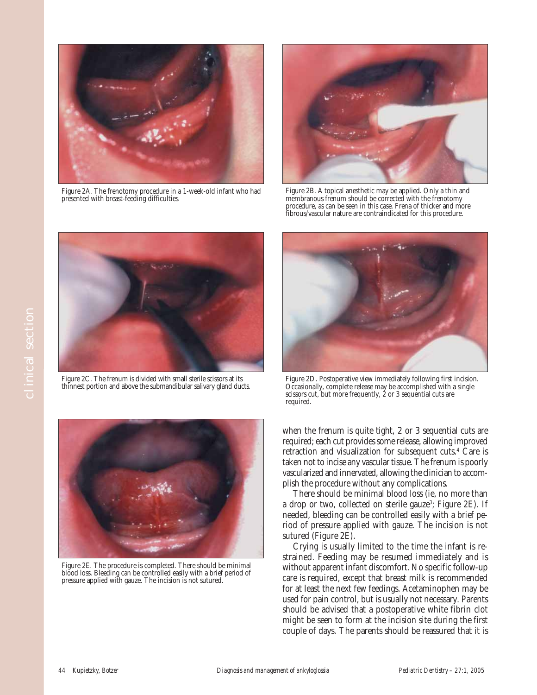

Figure 2A. The frenotomy procedure in a 1-week-old infant who had presented with breast-feeding difficulties.



Figure 2B. A topical anesthetic may be applied. Only a thin and membranous frenum should be corrected with the frenotomy procedure, as can be seen in this case. Frena of thicker and more fibrous/vascular nature are contraindicated for this procedure.



Figure 2C. The frenum is divided with small sterile scissors at its thinnest portion and above the submandibular salivary gland ducts.



Figure 2E. The procedure is completed. There should be minimal blood loss. Bleeding can be controlled easily with a brief period of pressure applied with gauze. The incision is not sutured.



Figure 2C. The frenum is divided with small sterile scissors at its Figure 2D. Postoperative view immediately following first incision.<br>thinnest portion and above the submandibular salivary gland ducts. Occasion scissors cut, but more frequently, 2 or 3 sequential cuts are required.

when the frenum is quite tight, 2 or 3 sequential cuts are required; each cut provides some release, allowing improved retraction and visualization for subsequent cuts.4 Care is taken not to incise any vascular tissue. The frenum is poorly vascularized and innervated, allowing the clinician to accomplish the procedure without any complications.

There should be minimal blood loss (ie, no more than a drop or two, collected on sterile gauze<sup>3</sup>; Figure 2E). If needed, bleeding can be controlled easily with a brief period of pressure applied with gauze. The incision is not sutured (Figure 2E).

Crying is usually limited to the time the infant is restrained. Feeding may be resumed immediately and is without apparent infant discomfort. No specific follow-up care is required, except that breast milk is recommended for at least the next few feedings. Acetaminophen may be used for pain control, but is usually not necessary. Parents should be advised that a postoperative white fibrin clot might be seen to form at the incision site during the first couple of days. The parents should be reassured that it is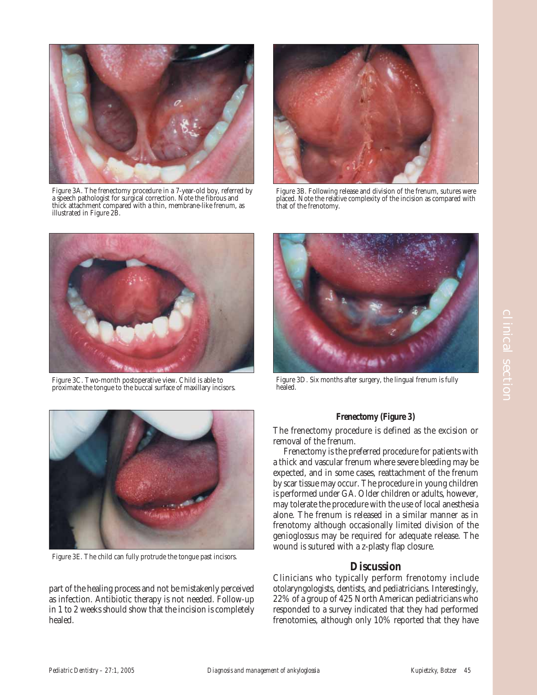

Figure 3A. The frenectomy procedure in a 7-year-old boy, referred by a speech pathologist for surgical correction. Note the fibrous and thick attachment compared with a thin, membrane-like frenum, as illustrated in Figure 2B.



Figure 3B. Following release and division of the frenum, sutures were placed. Note the relative complexity of the incision as compared with that of the frenotomy.



Figure 3C. Two-month postoperative view. Child is able to proximate the tongue to the buccal surface of maxillary incisors.



Figure 3D. Six months after surgery, the lingual frenum is fully healed.



The frenectomy procedure is defined as the excision or removal of the frenum.

Frenectomy is the preferred procedure for patients with a thick and vascular frenum where severe bleeding may be expected, and in some cases, reattachment of the frenum by scar tissue may occur. The procedure in young children is performed under GA. Older children or adults, however, may tolerate the procedure with the use of local anesthesia alone. The frenum is released in a similar manner as in frenotomy although occasionally limited division of the genioglossus may be required for adequate release. The wound is sutured with a z-plasty flap closure.

### **Discussion**

Clinicians who typically perform frenotomy include otolaryngologists, dentists, and pediatricians. Interestingly, 22% of a group of 425 North American pediatricians who responded to a survey indicated that they had performed frenotomies, although only 10% reported that they have



Figure 3E. The child can fully protrude the tongue past incisors.

part of the healing process and not be mistakenly perceived as infection. Antibiotic therapy is not needed. Follow-up in 1 to 2 weeks should show that the incision is completely healed.